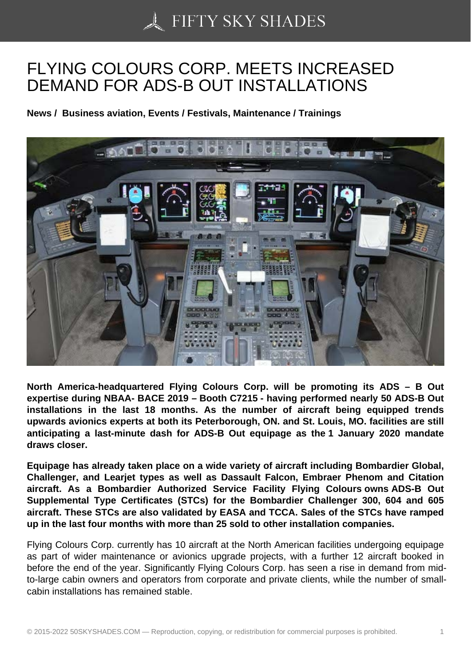## [FLYING COLOURS CO](https://50skyshades.com)RP. MEETS INCREASED DEMAND FOR ADS-B OUT INSTALLATIONS

News / Business aviation, Events / Festivals, Maintenance / Trainings

North America-headquartered Flying Colours Corp. will be promoting its ADS – B Out expertise during NBAA- BACE 2019 – Booth C7215 - having performed nearly 50 ADS-B Out installations in the last 18 months. As the number of aircraft being equipped trends upwards avionics experts at both its Peterborough, ON. and St. Louis, MO. facilities are still anticipating a last-minute dash for ADS-B Out equipage as the 1 January 2020 mandate draws closer.

Equipage has already taken place on a wide variety of aircraft including Bombardier Global, Challenger, and Learjet types as well as Dassault Falcon, Embraer Phenom and Citation aircraft. As a Bombardier Authorized Service Facility Flying Colours owns ADS-B Out Supplemental Type Certificates (STCs) for the Bombardier Challenger 300, 604 and 605 aircraft. These STCs are also validated by EASA and TCCA. Sales of the STCs have ramped up in the last four months with more than 25 sold to other installation companies.

Flying Colours Corp. currently has 10 aircraft at the North American facilities undergoing equipage as part of wider maintenance or avionics upgrade projects, with a further 12 aircraft booked in before the end of the year. Significantly Flying Colours Corp. has seen a rise in demand from midto-large cabin owners and operators from corporate and private clients, while the number of smallcabin installations has remained stable.